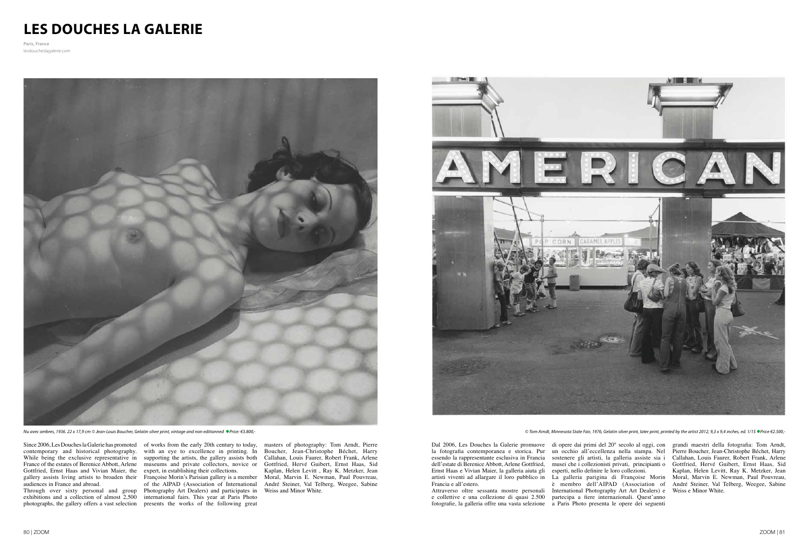## **LES DOUCHES LA GALERIE**

**Paris, France** lesdoucheslagalerie.com



Nu avec ombres, 1936. 22 x 17,9 cm © Jean-Louis Boucher, Gelatin silver print, vintage and non editionned ●Price: €3.800,-<br>© Tom Arndt, Minnesota State Fair, 1976, Gelatin silver print, printed by the artist 2012, 9,3 x

essendo la rappresentante esclusiva in Francia dell'estate di Berenice Abbott, Arlene Gottfried, Ernst Haas e Vivian Maier, la galleria aiuta gli artisti viventi ad allargare il loro pubblico in

Dal 2006, Les Douches la Galerie promuove di opere dai primi del 20° secolo al oggi, con la fotografa contemporanea e storica. Pur un occhio all'eccellenza nella stampa. Nel Pierre Boucher, Jean-Christophe Béchet, Harry sostenere gli artisti, la galleria assiste sia i musei che i collezionisti privati, principianti o esperti, nello defnire le loro collezioni.

Francia e all'estero. Attraverso oltre sessanta mostre personali International Photography Art Art Dealers) e Weiss e Minor White. e collettive e una collezione di quasi 2.500 fotografe, la galleria offre una vasta selezione a Paris Photo presenta le opere dei seguenti La galleria parigina di Françoise Morin partecipa a fere internazionali. Quest'anno

è membro dell'AIPAD (Association of André Steiner, Val Telberg, Weegee, Sabine grandi maestri della fotografa: Tom Arndt, Callahan, Louis Faurer, Robert Frank, Arlene Gottfried, Hervé Guibert, Ernst Haas, Sid Kaplan, Helen Levitt, Ray K. Metzker, Jean Moral, Marvin E. Newman, Paul Pouvreau,

Since 2006, Les Douches la Galerie has promoted of works from the early 20th century to today, contemporary and historical photography. with an eye to excellence in printing. In While being the exclusive representative in supporting the artists, the gallery assists both France of the estates of Berenice Abbott, Arlene museums and private collectors, novice or Gottfried, Ernst Haas and Vivian Maier, the expert, in establishing their collections. gallery assists living artists to broaden their Françoise Morin's Parisian gallery is a member Moral, Marvin E. Newman, Paul Pouvreau, audiences in France and abroad.

Through over sixty personal and group Photography Art Dealers) and participates in exhibitions and a collection of almost 2,500 international fairs. This year at Paris Photo photographs, the gallery offers a vast selection presents the works of the following great of the AIPAD (Association of International

masters of photography: Tom Arndt, Pierre Boucher, Jean-Christophe Béchet, Harry Callahan, Louis Faurer, Robert Frank, Arlene Gottfried, Hervé Guibert, Ernst Haas, Sid Kaplan, Helen Levitt , Ray K. Metzker, Jean André Steiner, Val Telberg, Weegee, Sabine Weiss and Minor White.